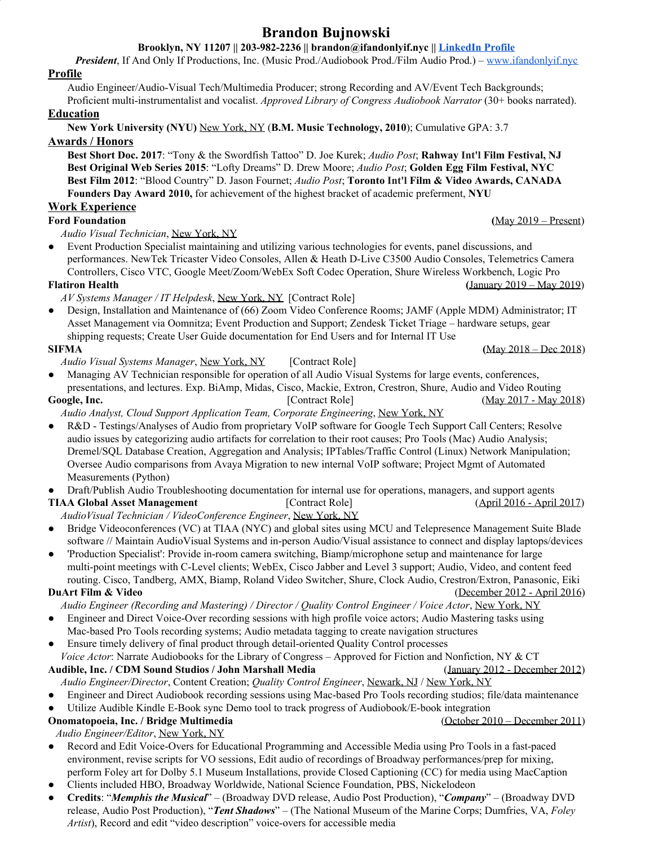# **Brandon Bujnowski**

## **Brooklyn, NY 11207 || 203-982-2236 || brandon@ifandonlyif.nyc || [LinkedIn](https://goo.gl/QPBBj4) Profile**

*President*, If And Only If Productions, Inc. (Music Prod./Audiobook Prod./Film Audio Prod.) – [www.ifandonlyif.nyc](http://www.ifandonlyif.nyc/)

### **Profile**

Audio Engineer/Audio-Visual Tech/Multimedia Producer; strong Recording and AV/Event Tech Backgrounds; Proficient multi-instrumentalist and vocalist. *Approved Library of Congress Audiobook Narrator* (30+ books narrated).

### **Education**

**New York University (NYU)** New York, NY (**B.M. Music Technology, 2010**); Cumulative GPA: 3.7

### **Awards / Honors**

**Best Short Doc. 2017**: "Tony & the Swordfish Tattoo" D. Joe Kurek; *Audio Post*; **Rahway Int'l Film Festival, NJ Best Original Web Series 2015**: "Lofty Dreams" D. Drew Moore; *Audio Post*; **Golden Egg Film Festival, NYC Best Film 2012**: "Blood Country" D. Jason Fournet; *Audio Post*; **Toronto Int'l Film & Video Awards, CANADA Founders Day Award 2010,** for achievement of the highest bracket of academic preferment, **NYU**

### **Work Experience**

### **Ford Foundation (**May 2019 – Present)

*Audio Visual Technician*, New York, NY

Event Production Specialist maintaining and utilizing various technologies for events, panel discussions, and performances. NewTek Tricaster Video Consoles, Allen & Heath D-Live C3500 Audio Consoles, Telemetrics Camera Controllers, Cisco VTC, Google Meet/Zoom/WebEx Soft Codec Operation, Shure Wireless Workbench, Logic Pro **Flatiron Health (**January 2019 – May 2019)

- *AV Systems Manager / IT Helpdesk*, New York, NY [Contract Role]
- Design, Installation and Maintenance of (66) Zoom Video Conference Rooms; JAMF (Apple MDM) Administrator; IT Asset Management via Oomnitza; Event Production and Support; Zendesk Ticket Triage – hardware setups, gear shipping requests; Create User Guide documentation for End Users and for Internal IT Use

- *Audio Visual Systems Manager*, New York, NY [Contract Role]
- Managing AV Technician responsible for operation of all Audio Visual Systems for large events, conferences,
- presentations, and lectures. Exp. BiAmp, Midas, Cisco, Mackie, Extron, Crestron, Shure, Audio and Video Routing **Google, Inc.** [Contract Role] (May 2017 - May 2018)
	- *Audio Analyst, Cloud Support Application Team, Corporate Engineering*, New York, NY
- R&D Testings/Analyses of Audio from proprietary VoIP software for Google Tech Support Call Centers; Resolve audio issues by categorizing audio artifacts for correlation to their root causes; Pro Tools (Mac) Audio Analysis; Dremel/SQL Database Creation, Aggregation and Analysis; IPTables/Traffic Control (Linux) Network Manipulation; Oversee Audio comparisons from Avaya Migration to new internal VoIP software; Project Mgmt of Automated Measurements (Python)
- **●** Draft/Publish Audio Troubleshooting documentation for internal use for operations, managers, and support agents

**TIAA Global Asset Management** [Contract Role] (April 2016 - April 2017) *AudioVisual Technician / VideoConference Engineer*, New York, NY

- **●** Bridge Videoconferences (VC) at TIAA (NYC) and global sites using MCU and Telepresence Management Suite Blade software // Maintain AudioVisual Systems and in-person Audio/Visual assistance to connect and display laptops/devices
- **●** 'Production Specialist': Provide in-room camera switching, Biamp/microphone setup and maintenance for large multi-point meetings with C-Level clients; WebEx, Cisco Jabber and Level 3 support; Audio, Video, and content feed routing. Cisco, Tandberg, AMX, Biamp, Roland Video Switcher, Shure, Clock Audio, Crestron/Extron, Panasonic, Eiki

# **DuArt Film & Video** (December 2012 - April 2016)

*Audio Engineer (Recording and Mastering) / Director / Quality Control Engineer / Voice Actor*, New York, NY

- Engineer and Direct Voice-Over recording sessions with high profile voice actors; Audio Mastering tasks using Mac-based Pro Tools recording systems; Audio metadata tagging to create navigation structures
- **●** Ensure timely delivery of final product through detail-oriented Quality Control processes
- *Voice Actor*: Narrate Audiobooks for the Library of Congress Approved for Fiction and Nonfiction, NY & CT **Audible, Inc. / CDM Sound Studios / John Marshall Media** (January 2012 - December 2012)
- *Audio Engineer/Director*, Content Creation; *Quality Control Engineer*, Newark, NJ / New York, NY
- **●** Engineer and Direct Audiobook recording sessions using Mac-based Pro Tools recording studios; file/data maintenance
- Utilize Audible Kindle E-Book sync Demo tool to track progress of Audiobook/E-book integration

**Onomatopoeia, Inc.** / Bridge Multimedia (October 2010 – December 2011)

# *Audio Engineer/Editor*, New York, NY

- **●** Record and Edit Voice-Overs for Educational Programming and Accessible Media using Pro Tools in a fast-paced environment, revise scripts for VO sessions, Edit audio of recordings of Broadway performances/prep for mixing, perform Foley art for Dolby 5.1 Museum Installations, provide Closed Captioning (CC) for media using MacCaption
- **●** Clients included HBO, Broadway Worldwide, National Science Foundation, PBS, Nickelodeon
- **● Credits**: "*Memphis the Musical*" (Broadway DVD release, Audio Post Production), "*Company*" (Broadway DVD release, Audio Post Production), "*Tent Shadows*" – (The National Museum of the Marine Corps; Dumfries, VA, *Foley Artist*), Record and edit "video description" voice-overs for accessible media

**SIFMA (**May 2018 – Dec 2018)